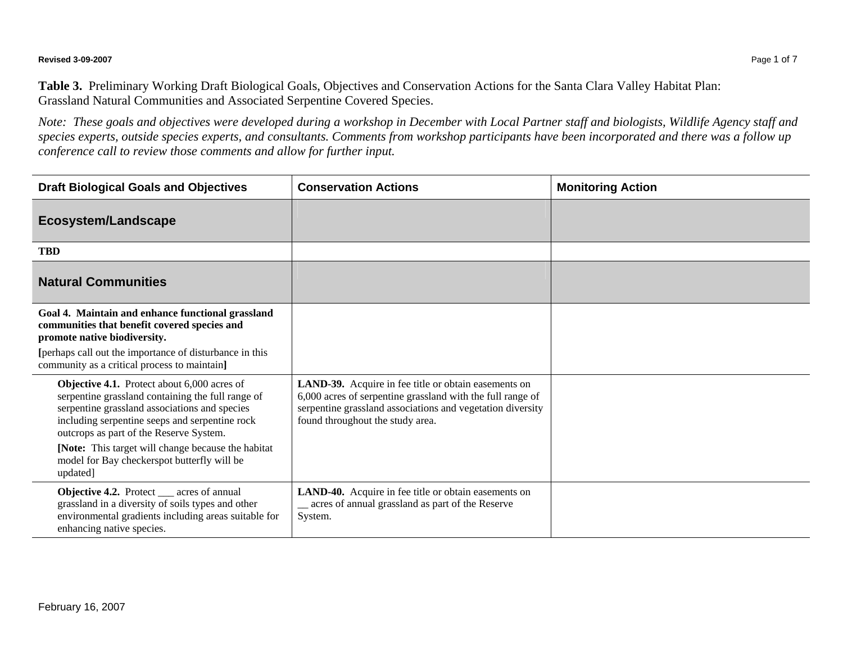## **Revised 3-09-2007** Page 1 of 7

**Table 3.** Preliminary Working Draft Biological Goals, Objectives and Conservation Actions for the Santa Clara Valley Habitat Plan: Grassland Natural Communities and Associated Serpentine Covered Species.

*Note: These goals and objectives were developed during a workshop in December with Local Partner staff and biologists, Wildlife Agency staff and species experts, outside species experts, and consultants. Comments from workshop participants have been incorporated and there was a follow up conference call to review those comments and allow for further input.* 

| <b>Draft Biological Goals and Objectives</b>                                                                                                                                                                                                                                                                                                                    | <b>Conservation Actions</b>                                                                                                                                                                                          | <b>Monitoring Action</b> |
|-----------------------------------------------------------------------------------------------------------------------------------------------------------------------------------------------------------------------------------------------------------------------------------------------------------------------------------------------------------------|----------------------------------------------------------------------------------------------------------------------------------------------------------------------------------------------------------------------|--------------------------|
| <b>Ecosystem/Landscape</b>                                                                                                                                                                                                                                                                                                                                      |                                                                                                                                                                                                                      |                          |
| <b>TBD</b>                                                                                                                                                                                                                                                                                                                                                      |                                                                                                                                                                                                                      |                          |
| <b>Natural Communities</b>                                                                                                                                                                                                                                                                                                                                      |                                                                                                                                                                                                                      |                          |
| Goal 4. Maintain and enhance functional grassland<br>communities that benefit covered species and<br>promote native biodiversity.<br>[perhaps call out the importance of disturbance in this<br>community as a critical process to maintain.                                                                                                                    |                                                                                                                                                                                                                      |                          |
| Objective 4.1. Protect about 6,000 acres of<br>serpentine grassland containing the full range of<br>serpentine grassland associations and species<br>including serpentine seeps and serpentine rock<br>outcrops as part of the Reserve System.<br>[Note: This target will change because the habitat<br>model for Bay checkerspot butterfly will be<br>updated] | LAND-39. Acquire in fee title or obtain easements on<br>6,000 acres of serpentine grassland with the full range of<br>serpentine grassland associations and vegetation diversity<br>found throughout the study area. |                          |
| <b>Objective 4.2.</b> Protect __ acres of annual<br>grassland in a diversity of soils types and other<br>environmental gradients including areas suitable for<br>enhancing native species.                                                                                                                                                                      | LAND-40. Acquire in fee title or obtain easements on<br>_ acres of annual grassland as part of the Reserve<br>System.                                                                                                |                          |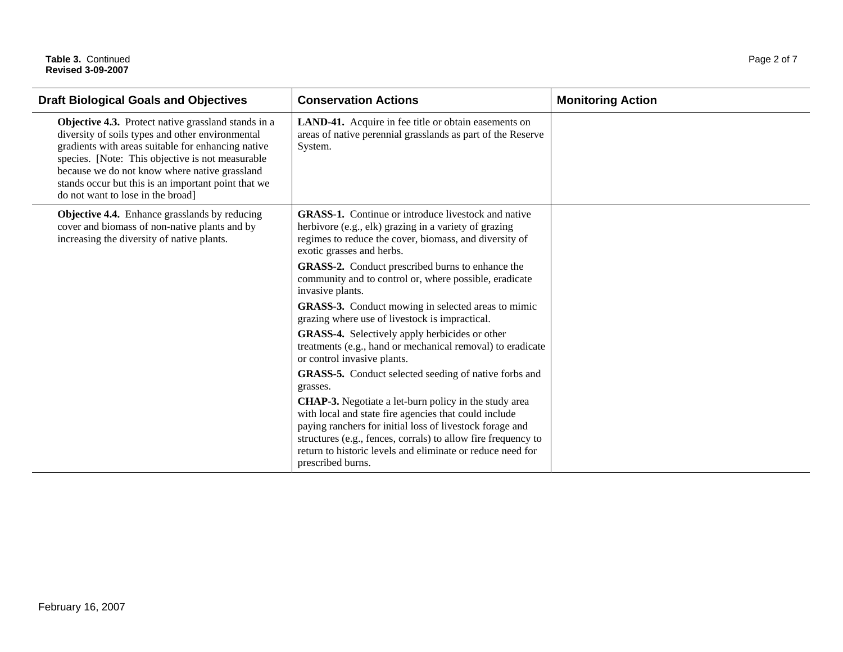| <b>Draft Biological Goals and Objectives</b>                                                                                                                                                                                                                                                                                                                   | <b>Conservation Actions</b>                                                                                                                                                                                                                                                                                                           | <b>Monitoring Action</b> |
|----------------------------------------------------------------------------------------------------------------------------------------------------------------------------------------------------------------------------------------------------------------------------------------------------------------------------------------------------------------|---------------------------------------------------------------------------------------------------------------------------------------------------------------------------------------------------------------------------------------------------------------------------------------------------------------------------------------|--------------------------|
| Objective 4.3. Protect native grassland stands in a<br>diversity of soils types and other environmental<br>gradients with areas suitable for enhancing native<br>species. [Note: This objective is not measurable<br>because we do not know where native grassland<br>stands occur but this is an important point that we<br>do not want to lose in the broad] | LAND-41. Acquire in fee title or obtain easements on<br>areas of native perennial grasslands as part of the Reserve<br>System.                                                                                                                                                                                                        |                          |
| Objective 4.4. Enhance grasslands by reducing<br>cover and biomass of non-native plants and by<br>increasing the diversity of native plants.                                                                                                                                                                                                                   | <b>GRASS-1.</b> Continue or introduce livestock and native<br>herbivore (e.g., elk) grazing in a variety of grazing<br>regimes to reduce the cover, biomass, and diversity of<br>exotic grasses and herbs.                                                                                                                            |                          |
|                                                                                                                                                                                                                                                                                                                                                                | <b>GRASS-2.</b> Conduct prescribed burns to enhance the<br>community and to control or, where possible, eradicate<br>invasive plants.                                                                                                                                                                                                 |                          |
|                                                                                                                                                                                                                                                                                                                                                                | <b>GRASS-3.</b> Conduct mowing in selected areas to mimic<br>grazing where use of livestock is impractical.                                                                                                                                                                                                                           |                          |
|                                                                                                                                                                                                                                                                                                                                                                | <b>GRASS-4.</b> Selectively apply herbicides or other<br>treatments (e.g., hand or mechanical removal) to eradicate<br>or control invasive plants.                                                                                                                                                                                    |                          |
|                                                                                                                                                                                                                                                                                                                                                                | <b>GRASS-5.</b> Conduct selected seeding of native forbs and<br>grasses.                                                                                                                                                                                                                                                              |                          |
|                                                                                                                                                                                                                                                                                                                                                                | <b>CHAP-3.</b> Negotiate a let-burn policy in the study area<br>with local and state fire agencies that could include<br>paying ranchers for initial loss of livestock forage and<br>structures (e.g., fences, corrals) to allow fire frequency to<br>return to historic levels and eliminate or reduce need for<br>prescribed burns. |                          |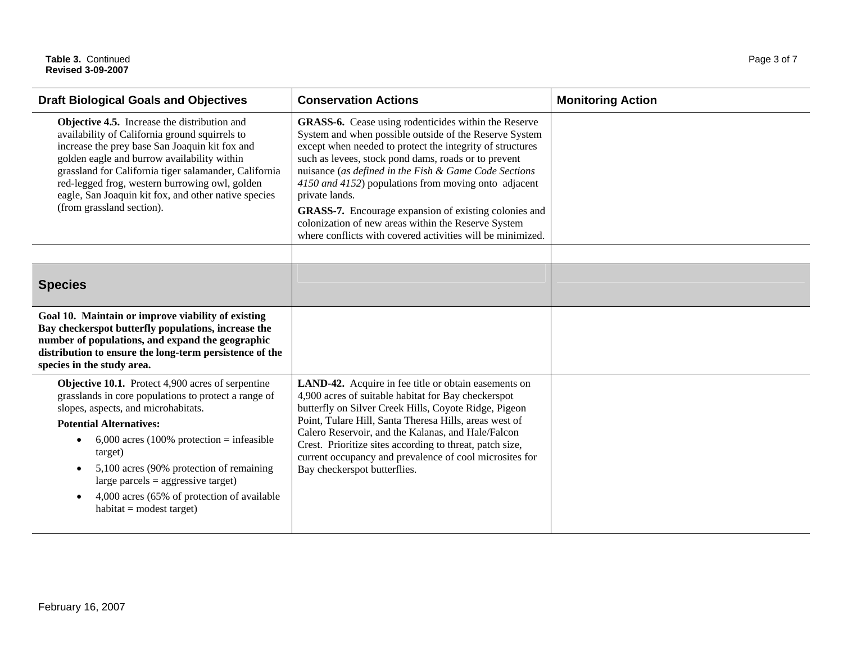| <b>Draft Biological Goals and Objectives</b>                                                                                                                                                                                                                                                                                                                                                                                                           | <b>Conservation Actions</b>                                                                                                                                                                                                                                                                                                                                                                                                                                                                                                                          | <b>Monitoring Action</b> |
|--------------------------------------------------------------------------------------------------------------------------------------------------------------------------------------------------------------------------------------------------------------------------------------------------------------------------------------------------------------------------------------------------------------------------------------------------------|------------------------------------------------------------------------------------------------------------------------------------------------------------------------------------------------------------------------------------------------------------------------------------------------------------------------------------------------------------------------------------------------------------------------------------------------------------------------------------------------------------------------------------------------------|--------------------------|
| Objective 4.5. Increase the distribution and<br>availability of California ground squirrels to<br>increase the prey base San Joaquin kit fox and<br>golden eagle and burrow availability within<br>grassland for California tiger salamander, California<br>red-legged frog, western burrowing owl, golden<br>eagle, San Joaquin kit fox, and other native species<br>(from grassland section).                                                        | GRASS-6. Cease using rodenticides within the Reserve<br>System and when possible outside of the Reserve System<br>except when needed to protect the integrity of structures<br>such as levees, stock pond dams, roads or to prevent<br>nuisance (as defined in the Fish & Game Code Sections<br>4150 and 4152) populations from moving onto adjacent<br>private lands.<br>GRASS-7. Encourage expansion of existing colonies and<br>colonization of new areas within the Reserve System<br>where conflicts with covered activities will be minimized. |                          |
| <b>Species</b>                                                                                                                                                                                                                                                                                                                                                                                                                                         |                                                                                                                                                                                                                                                                                                                                                                                                                                                                                                                                                      |                          |
| Goal 10. Maintain or improve viability of existing<br>Bay checkerspot butterfly populations, increase the<br>number of populations, and expand the geographic<br>distribution to ensure the long-term persistence of the<br>species in the study area.                                                                                                                                                                                                 |                                                                                                                                                                                                                                                                                                                                                                                                                                                                                                                                                      |                          |
| <b>Objective 10.1.</b> Protect 4,900 acres of serpentine<br>grasslands in core populations to protect a range of<br>slopes, aspects, and microhabitats.<br><b>Potential Alternatives:</b><br>$6,000$ acres (100% protection = infeasible<br>$\bullet$<br>target)<br>5,100 acres (90% protection of remaining<br>large parcels = $\text{aggressive target}$ )<br>4,000 acres (65% of protection of available<br>$\bullet$<br>$habitat = modest target)$ | LAND-42. Acquire in fee title or obtain easements on<br>4,900 acres of suitable habitat for Bay checkerspot<br>butterfly on Silver Creek Hills, Coyote Ridge, Pigeon<br>Point, Tulare Hill, Santa Theresa Hills, areas west of<br>Calero Reservoir, and the Kalanas, and Hale/Falcon<br>Crest. Prioritize sites according to threat, patch size,<br>current occupancy and prevalence of cool microsites for<br>Bay checkerspot butterflies.                                                                                                          |                          |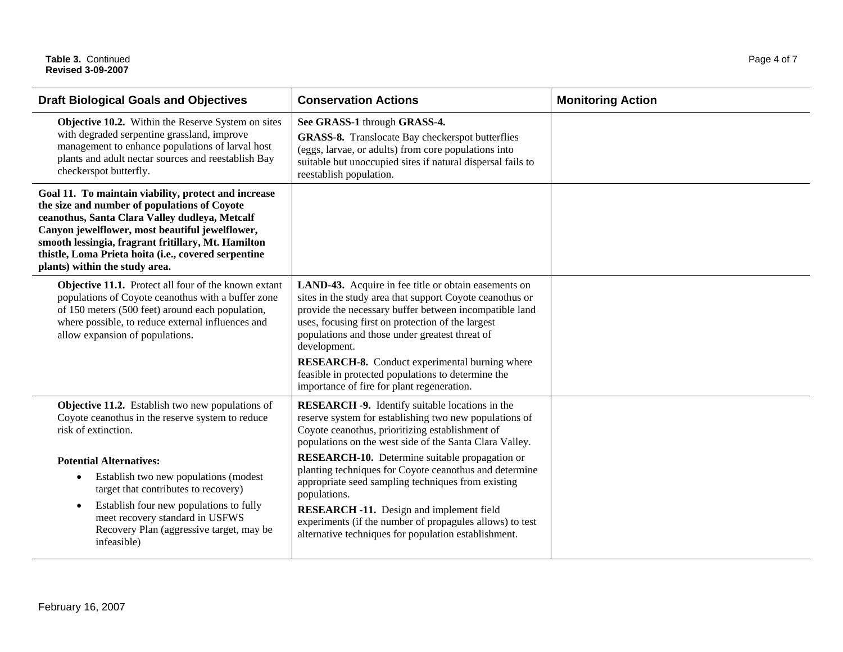| <b>Draft Biological Goals and Objectives</b>                                                                                                                                                                                                                                                                                                               | <b>Conservation Actions</b>                                                                                                                                                                                                                                                                                                                                                                                                                                    | <b>Monitoring Action</b> |
|------------------------------------------------------------------------------------------------------------------------------------------------------------------------------------------------------------------------------------------------------------------------------------------------------------------------------------------------------------|----------------------------------------------------------------------------------------------------------------------------------------------------------------------------------------------------------------------------------------------------------------------------------------------------------------------------------------------------------------------------------------------------------------------------------------------------------------|--------------------------|
| Objective 10.2. Within the Reserve System on sites<br>with degraded serpentine grassland, improve<br>management to enhance populations of larval host<br>plants and adult nectar sources and reestablish Bay<br>checkerspot butterfly.                                                                                                                     | See GRASS-1 through GRASS-4.<br><b>GRASS-8.</b> Translocate Bay checkerspot butterflies<br>(eggs, larvae, or adults) from core populations into<br>suitable but unoccupied sites if natural dispersal fails to<br>reestablish population.                                                                                                                                                                                                                      |                          |
| Goal 11. To maintain viability, protect and increase<br>the size and number of populations of Coyote<br>ceanothus, Santa Clara Valley dudleya, Metcalf<br>Canyon jewelflower, most beautiful jewelflower,<br>smooth lessingia, fragrant fritillary, Mt. Hamilton<br>thistle, Loma Prieta hoita (i.e., covered serpentine<br>plants) within the study area. |                                                                                                                                                                                                                                                                                                                                                                                                                                                                |                          |
| Objective 11.1. Protect all four of the known extant<br>populations of Coyote ceanothus with a buffer zone<br>of 150 meters (500 feet) around each population,<br>where possible, to reduce external influences and<br>allow expansion of populations.                                                                                                     | LAND-43. Acquire in fee title or obtain easements on<br>sites in the study area that support Coyote ceanothus or<br>provide the necessary buffer between incompatible land<br>uses, focusing first on protection of the largest<br>populations and those under greatest threat of<br>development.<br><b>RESEARCH-8.</b> Conduct experimental burning where<br>feasible in protected populations to determine the<br>importance of fire for plant regeneration. |                          |
| Objective 11.2. Establish two new populations of<br>Coyote ceanothus in the reserve system to reduce<br>risk of extinction.                                                                                                                                                                                                                                | <b>RESEARCH -9.</b> Identify suitable locations in the<br>reserve system for establishing two new populations of<br>Coyote ceanothus, prioritizing establishment of<br>populations on the west side of the Santa Clara Valley.                                                                                                                                                                                                                                 |                          |
| <b>Potential Alternatives:</b><br>Establish two new populations (modest<br>$\bullet$<br>target that contributes to recovery)<br>Establish four new populations to fully<br>$\bullet$<br>meet recovery standard in USFWS<br>Recovery Plan (aggressive target, may be<br>infeasible)                                                                         | RESEARCH-10. Determine suitable propagation or<br>planting techniques for Coyote ceanothus and determine<br>appropriate seed sampling techniques from existing<br>populations.<br><b>RESEARCH -11.</b> Design and implement field<br>experiments (if the number of propagules allows) to test<br>alternative techniques for population establishment.                                                                                                          |                          |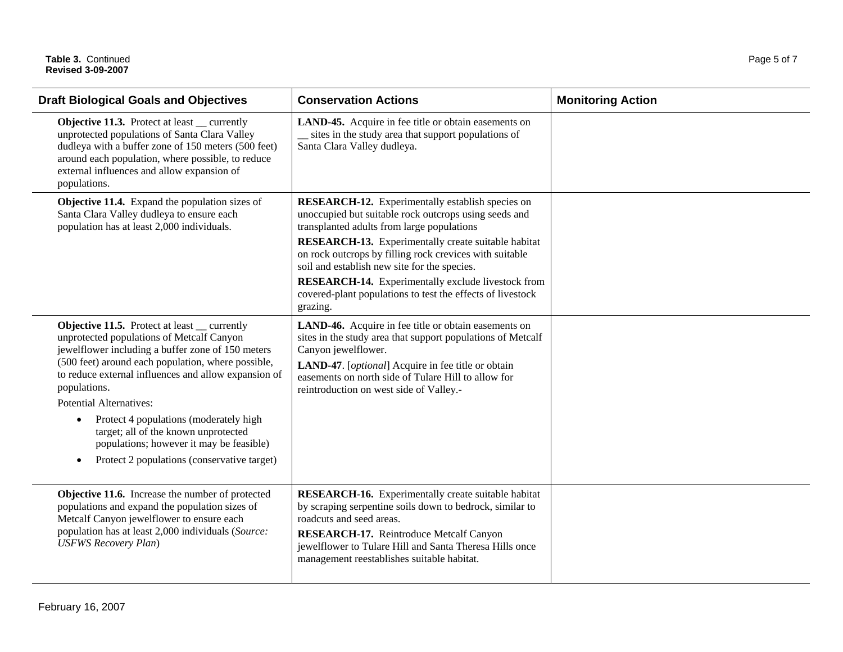| <b>Draft Biological Goals and Objectives</b>                                                                                                                                                                                                                                                                                                                                                                                                                      | <b>Conservation Actions</b>                                                                                                                                                                                                                                                                                                             | <b>Monitoring Action</b> |
|-------------------------------------------------------------------------------------------------------------------------------------------------------------------------------------------------------------------------------------------------------------------------------------------------------------------------------------------------------------------------------------------------------------------------------------------------------------------|-----------------------------------------------------------------------------------------------------------------------------------------------------------------------------------------------------------------------------------------------------------------------------------------------------------------------------------------|--------------------------|
| <b>Objective 11.3.</b> Protect at least __ currently<br>unprotected populations of Santa Clara Valley<br>dudleya with a buffer zone of 150 meters (500 feet)<br>around each population, where possible, to reduce<br>external influences and allow expansion of<br>populations.                                                                                                                                                                                   | LAND-45. Acquire in fee title or obtain easements on<br>sites in the study area that support populations of<br>Santa Clara Valley dudleya.                                                                                                                                                                                              |                          |
| Objective 11.4. Expand the population sizes of<br>Santa Clara Valley dudleya to ensure each<br>population has at least 2,000 individuals.                                                                                                                                                                                                                                                                                                                         | <b>RESEARCH-12.</b> Experimentally establish species on<br>unoccupied but suitable rock outcrops using seeds and<br>transplanted adults from large populations<br><b>RESEARCH-13.</b> Experimentally create suitable habitat<br>on rock outcrops by filling rock crevices with suitable<br>soil and establish new site for the species. |                          |
|                                                                                                                                                                                                                                                                                                                                                                                                                                                                   | RESEARCH-14. Experimentally exclude livestock from<br>covered-plant populations to test the effects of livestock<br>grazing.                                                                                                                                                                                                            |                          |
| <b>Objective 11.5.</b> Protect at least __ currently<br>unprotected populations of Metcalf Canyon<br>jewelflower including a buffer zone of 150 meters<br>(500 feet) around each population, where possible,<br>to reduce external influences and allow expansion of<br>populations.<br><b>Potential Alternatives:</b><br>Protect 4 populations (moderately high<br>$\bullet$<br>target; all of the known unprotected<br>populations; however it may be feasible) | LAND-46. Acquire in fee title or obtain easements on<br>sites in the study area that support populations of Metcalf<br>Canyon jewelflower.<br>LAND-47. [optional] Acquire in fee title or obtain<br>easements on north side of Tulare Hill to allow for<br>reintroduction on west side of Valley.-                                      |                          |
| Protect 2 populations (conservative target)<br>$\bullet$                                                                                                                                                                                                                                                                                                                                                                                                          |                                                                                                                                                                                                                                                                                                                                         |                          |
| Objective 11.6. Increase the number of protected<br>populations and expand the population sizes of<br>Metcalf Canyon jewelflower to ensure each<br>population has at least 2,000 individuals (Source:<br><b>USFWS Recovery Plan)</b>                                                                                                                                                                                                                              | <b>RESEARCH-16.</b> Experimentally create suitable habitat<br>by scraping serpentine soils down to bedrock, similar to<br>roadcuts and seed areas.<br>RESEARCH-17. Reintroduce Metcalf Canyon<br>jewelflower to Tulare Hill and Santa Theresa Hills once<br>management reestablishes suitable habitat.                                  |                          |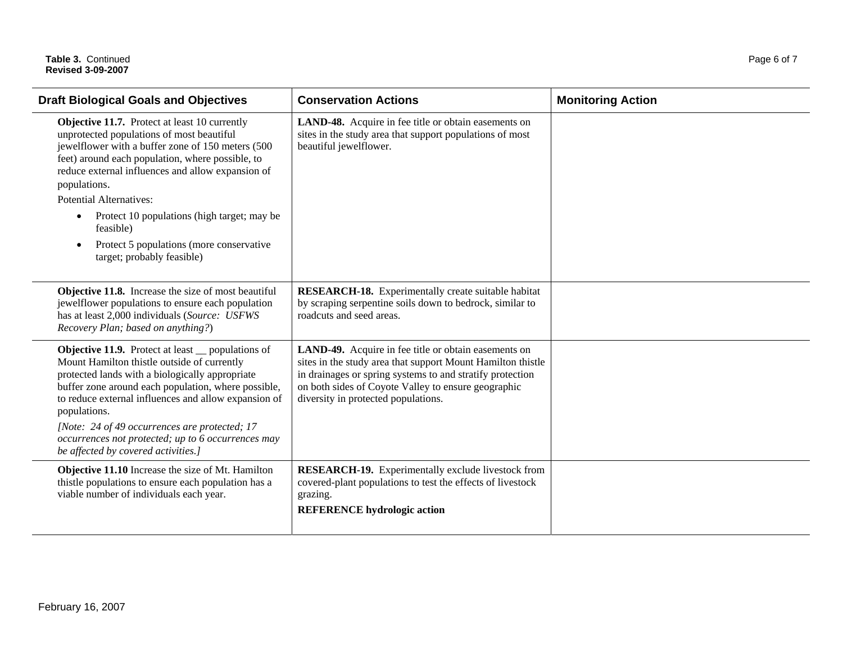| <b>Conservation Actions</b>                                                                                                                                                                                                                                                    | <b>Monitoring Action</b> |
|--------------------------------------------------------------------------------------------------------------------------------------------------------------------------------------------------------------------------------------------------------------------------------|--------------------------|
| LAND-48. Acquire in fee title or obtain easements on<br>sites in the study area that support populations of most<br>beautiful jewelflower.                                                                                                                                     |                          |
|                                                                                                                                                                                                                                                                                |                          |
|                                                                                                                                                                                                                                                                                |                          |
|                                                                                                                                                                                                                                                                                |                          |
| <b>RESEARCH-18.</b> Experimentally create suitable habitat<br>by scraping serpentine soils down to bedrock, similar to<br>roadcuts and seed areas.                                                                                                                             |                          |
| LAND-49. Acquire in fee title or obtain easements on<br>sites in the study area that support Mount Hamilton thistle<br>in drainages or spring systems to and stratify protection<br>on both sides of Coyote Valley to ensure geographic<br>diversity in protected populations. |                          |
|                                                                                                                                                                                                                                                                                |                          |
| <b>RESEARCH-19.</b> Experimentally exclude livestock from<br>covered-plant populations to test the effects of livestock<br>grazing.<br><b>REFERENCE</b> hydrologic action                                                                                                      |                          |
|                                                                                                                                                                                                                                                                                |                          |